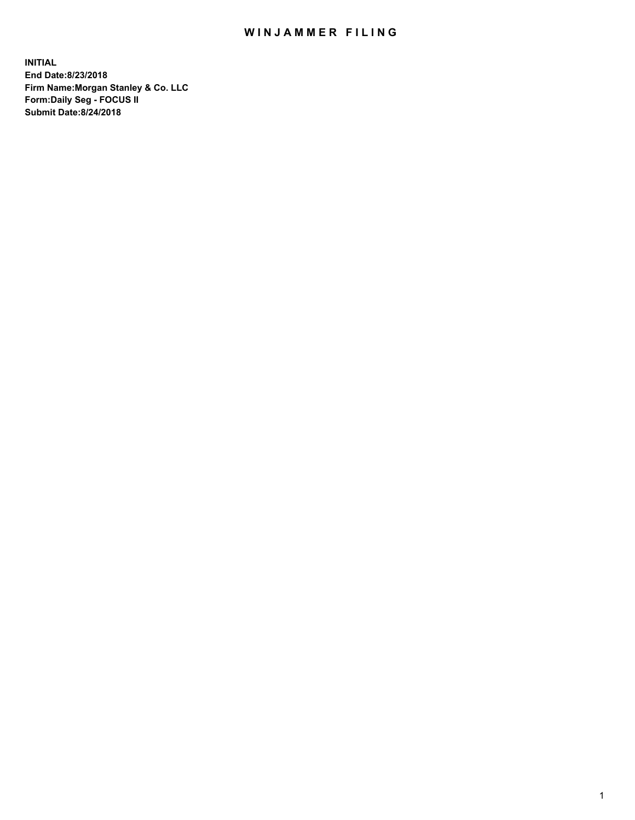## WIN JAMMER FILING

**INITIAL End Date:8/23/2018 Firm Name:Morgan Stanley & Co. LLC Form:Daily Seg - FOCUS II Submit Date:8/24/2018**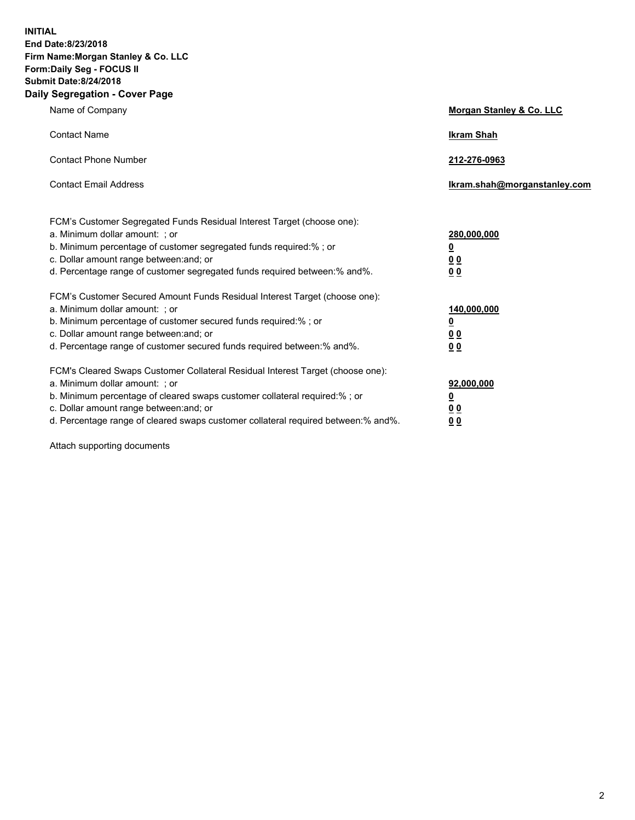**INITIAL End Date:8/23/2018 Firm Name:Morgan Stanley & Co. LLC Form:Daily Seg - FOCUS II Submit Date:8/24/2018 Daily Segregation - Cover Page**

| Name of Company                                                                                                                                                                                                                                                                                                                | Morgan Stanley & Co. LLC                               |
|--------------------------------------------------------------------------------------------------------------------------------------------------------------------------------------------------------------------------------------------------------------------------------------------------------------------------------|--------------------------------------------------------|
| <b>Contact Name</b>                                                                                                                                                                                                                                                                                                            | <b>Ikram Shah</b>                                      |
| <b>Contact Phone Number</b>                                                                                                                                                                                                                                                                                                    | 212-276-0963                                           |
| <b>Contact Email Address</b>                                                                                                                                                                                                                                                                                                   | Ikram.shah@morganstanley.com                           |
| FCM's Customer Segregated Funds Residual Interest Target (choose one):<br>a. Minimum dollar amount: ; or<br>b. Minimum percentage of customer segregated funds required:% ; or<br>c. Dollar amount range between: and; or<br>d. Percentage range of customer segregated funds required between:% and%.                         | 280,000,000<br><u>0</u><br><u>0 0</u><br>0 Q           |
| FCM's Customer Secured Amount Funds Residual Interest Target (choose one):<br>a. Minimum dollar amount: ; or<br>b. Minimum percentage of customer secured funds required:%; or<br>c. Dollar amount range between: and; or<br>d. Percentage range of customer secured funds required between:% and%.                            | 140,000,000<br><u>0</u><br><u>00</u><br>0 <sub>0</sub> |
| FCM's Cleared Swaps Customer Collateral Residual Interest Target (choose one):<br>a. Minimum dollar amount: ; or<br>b. Minimum percentage of cleared swaps customer collateral required:% ; or<br>c. Dollar amount range between: and; or<br>d. Percentage range of cleared swaps customer collateral required between:% and%. | 92,000,000<br><u>0</u><br><u>00</u><br>0 <sub>0</sub>  |

Attach supporting documents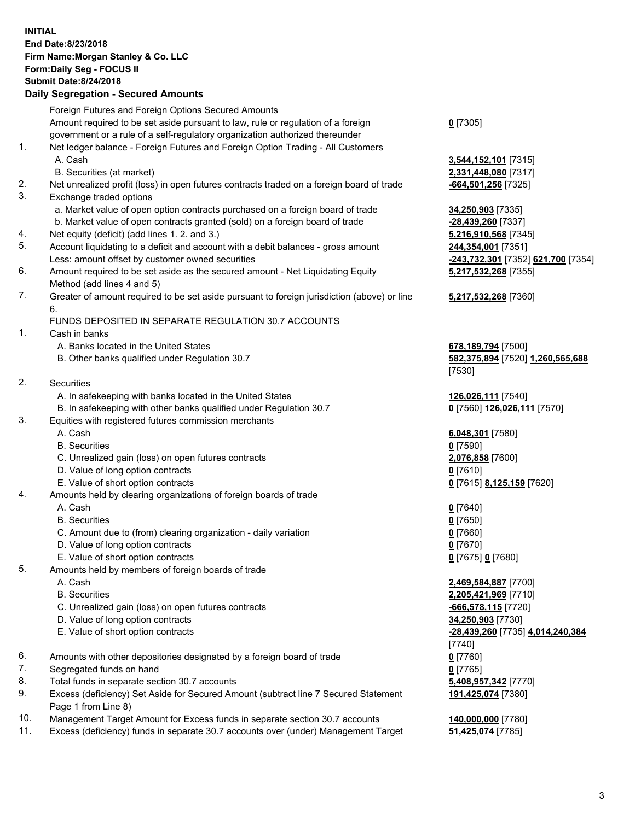## **INITIAL End Date:8/23/2018 Firm Name:Morgan Stanley & Co. LLC Form:Daily Seg - FOCUS II Submit Date:8/24/2018**

## **Daily Segregation - Secured Amounts**

|          | Foreign Futures and Foreign Options Secured Amounts                                                                          |                                                              |
|----------|------------------------------------------------------------------------------------------------------------------------------|--------------------------------------------------------------|
|          | Amount required to be set aside pursuant to law, rule or regulation of a foreign                                             | $0$ [7305]                                                   |
|          | government or a rule of a self-regulatory organization authorized thereunder                                                 |                                                              |
| 1.       | Net ledger balance - Foreign Futures and Foreign Option Trading - All Customers                                              |                                                              |
|          | A. Cash                                                                                                                      | 3,544,152,101 [7315]                                         |
|          | B. Securities (at market)                                                                                                    | 2,331,448,080 [7317]                                         |
| 2.<br>3. | Net unrealized profit (loss) in open futures contracts traded on a foreign board of trade                                    | -664,501,256 [7325]                                          |
|          | Exchange traded options                                                                                                      |                                                              |
|          | a. Market value of open option contracts purchased on a foreign board of trade                                               | 34,250,903 [7335]                                            |
| 4.       | b. Market value of open contracts granted (sold) on a foreign board of trade<br>Net equity (deficit) (add lines 1.2. and 3.) | -28,439,260 [7337]                                           |
| 5.       |                                                                                                                              | 5,216,910,568 [7345]                                         |
|          | Account liquidating to a deficit and account with a debit balances - gross amount                                            | 244,354,001 [7351]                                           |
| 6.       | Less: amount offset by customer owned securities                                                                             | <mark>-243,732,301</mark> [7352] <mark>621,700</mark> [7354] |
|          | Amount required to be set aside as the secured amount - Net Liquidating Equity<br>Method (add lines 4 and 5)                 | 5,217,532,268 [7355]                                         |
| 7.       | Greater of amount required to be set aside pursuant to foreign jurisdiction (above) or line                                  | 5,217,532,268 [7360]                                         |
|          | 6.<br>FUNDS DEPOSITED IN SEPARATE REGULATION 30.7 ACCOUNTS                                                                   |                                                              |
| 1.       | Cash in banks                                                                                                                |                                                              |
|          | A. Banks located in the United States                                                                                        | 678,189,794 [7500]                                           |
|          | B. Other banks qualified under Regulation 30.7                                                                               | 582,375,894 [7520] 1,260,565,688                             |
|          |                                                                                                                              | [7530]                                                       |
| 2.       | Securities                                                                                                                   |                                                              |
|          | A. In safekeeping with banks located in the United States                                                                    | 126,026,111 [7540]                                           |
|          | B. In safekeeping with other banks qualified under Regulation 30.7                                                           | 0 [7560] 126,026,111 [7570]                                  |
| 3.       | Equities with registered futures commission merchants                                                                        |                                                              |
|          | A. Cash                                                                                                                      | 6,048,301 [7580]                                             |
|          | <b>B.</b> Securities                                                                                                         | $0$ [7590]                                                   |
|          | C. Unrealized gain (loss) on open futures contracts                                                                          | 2,076,858 [7600]                                             |
|          | D. Value of long option contracts                                                                                            | $0$ [7610]                                                   |
|          | E. Value of short option contracts                                                                                           | 0 [7615] 8,125,159 [7620]                                    |
| 4.       | Amounts held by clearing organizations of foreign boards of trade                                                            |                                                              |
|          | A. Cash                                                                                                                      | $0$ [7640]                                                   |
|          | <b>B.</b> Securities                                                                                                         | $0$ [7650]                                                   |
|          | C. Amount due to (from) clearing organization - daily variation                                                              | $0$ [7660]                                                   |
|          | D. Value of long option contracts                                                                                            | $0$ [7670]                                                   |
|          | E. Value of short option contracts                                                                                           | 0 [7675] 0 [7680]                                            |
| 5.       | Amounts held by members of foreign boards of trade                                                                           |                                                              |
|          | A. Cash                                                                                                                      | 2,469,584,887 [7700]                                         |
|          | <b>B.</b> Securities                                                                                                         | 2,205,421,969 [7710]                                         |
|          | C. Unrealized gain (loss) on open futures contracts                                                                          | -666,578,115 [7720]                                          |
|          | D. Value of long option contracts                                                                                            | 34,250,903 [7730]                                            |
|          | E. Value of short option contracts                                                                                           | -28,439,260 [7735] 4,014,240,384                             |
|          |                                                                                                                              | [7740]                                                       |
| 6.       | Amounts with other depositories designated by a foreign board of trade                                                       | $0$ [7760]                                                   |
| 7.       | Segregated funds on hand                                                                                                     | $0$ [7765]                                                   |
| 8.       | Total funds in separate section 30.7 accounts                                                                                | 5,408,957,342 [7770]                                         |
| 9.       | Excess (deficiency) Set Aside for Secured Amount (subtract line 7 Secured Statement                                          | 191,425,074 [7380]                                           |
| 10.      | Page 1 from Line 8)<br>Management Target Amount for Excess funds in separate section 30.7 accounts                           | 140,000,000 [7780]                                           |
|          |                                                                                                                              |                                                              |

11. Excess (deficiency) funds in separate 30.7 accounts over (under) Management Target **51,425,074** [7785]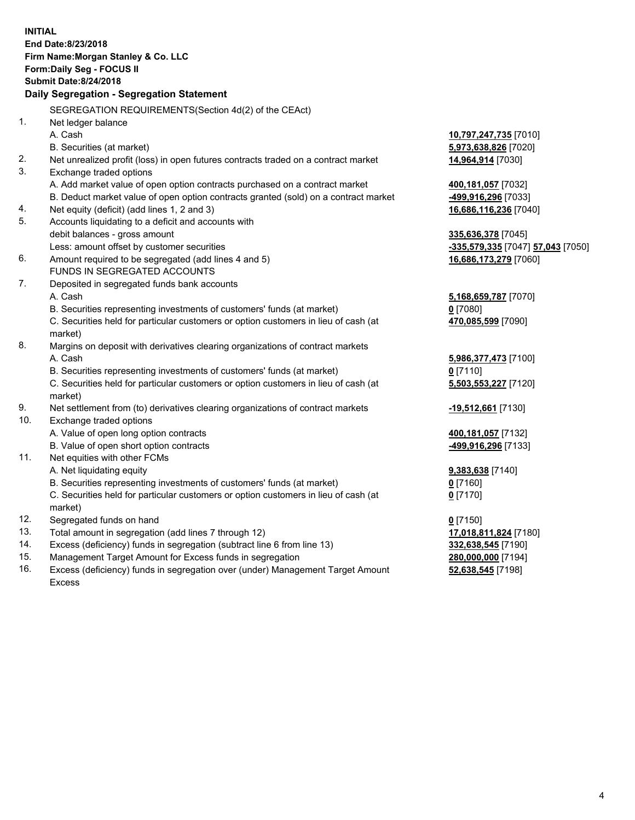|                | <b>INITIAL</b><br>End Date:8/23/2018<br>Firm Name: Morgan Stanley & Co. LLC<br>Form: Daily Seg - FOCUS II<br><b>Submit Date: 8/24/2018</b> |                                   |
|----------------|--------------------------------------------------------------------------------------------------------------------------------------------|-----------------------------------|
|                | Daily Segregation - Segregation Statement                                                                                                  |                                   |
|                | SEGREGATION REQUIREMENTS(Section 4d(2) of the CEAct)                                                                                       |                                   |
| 1 <sub>1</sub> | Net ledger balance                                                                                                                         |                                   |
|                | A. Cash                                                                                                                                    | 10,797,247,735 [7010]             |
|                | B. Securities (at market)                                                                                                                  | 5,973,638,826 [7020]              |
| 2.             | Net unrealized profit (loss) in open futures contracts traded on a contract market                                                         | 14,964,914 [7030]                 |
| 3.             | Exchange traded options                                                                                                                    |                                   |
|                | A. Add market value of open option contracts purchased on a contract market                                                                | 400,181,057 [7032]                |
|                | B. Deduct market value of open option contracts granted (sold) on a contract market                                                        | -499,916,296 [7033]               |
| 4.             | Net equity (deficit) (add lines 1, 2 and 3)                                                                                                | 16,686,116,236 [7040]             |
| 5.             | Accounts liquidating to a deficit and accounts with                                                                                        |                                   |
|                | debit balances - gross amount                                                                                                              | 335,636,378 [7045]                |
|                | Less: amount offset by customer securities                                                                                                 | -335,579,335 [7047] 57,043 [7050] |
| 6.             | Amount required to be segregated (add lines 4 and 5)<br>FUNDS IN SEGREGATED ACCOUNTS                                                       | 16,686,173,279 [7060]             |
| 7.             | Deposited in segregated funds bank accounts                                                                                                |                                   |
|                | A. Cash                                                                                                                                    | 5,168,659,787 [7070]              |
|                | B. Securities representing investments of customers' funds (at market)                                                                     | $0$ [7080]                        |
|                | C. Securities held for particular customers or option customers in lieu of cash (at                                                        | 470,085,599 [7090]                |
|                | market)                                                                                                                                    |                                   |
| 8.             | Margins on deposit with derivatives clearing organizations of contract markets                                                             |                                   |
|                | A. Cash                                                                                                                                    | 5,986,377,473 [7100]              |
|                | B. Securities representing investments of customers' funds (at market)                                                                     | $0$ [7110]                        |
|                | C. Securities held for particular customers or option customers in lieu of cash (at                                                        | 5,503,553,227 [7120]              |
|                | market)                                                                                                                                    |                                   |
| 9.             | Net settlement from (to) derivatives clearing organizations of contract markets                                                            | -19,512,661 [7130]                |
| 10.            | Exchange traded options                                                                                                                    |                                   |
|                | A. Value of open long option contracts                                                                                                     | 400,181,057 [7132]                |
|                | B. Value of open short option contracts                                                                                                    | -499,916,296 [7133]               |
| 11.            | Net equities with other FCMs                                                                                                               |                                   |
|                | A. Net liquidating equity                                                                                                                  | 9,383,638 [7140]                  |
|                | B. Securities representing investments of customers' funds (at market)                                                                     | $0$ [7160]                        |
|                | C. Securities held for particular customers or option customers in lieu of cash (at                                                        | $0$ [7170]                        |
|                | market)                                                                                                                                    |                                   |
| 12.            | Segregated funds on hand                                                                                                                   | $0$ [7150]                        |
| 13.            | Total amount in segregation (add lines 7 through 12)                                                                                       | 17,018,811,824 [7180]             |
| 14.            | Excess (deficiency) funds in segregation (subtract line 6 from line 13)                                                                    | 332,638,545 [7190]                |
| 15.            | Management Target Amount for Excess funds in segregation                                                                                   | 280,000,000 [7194]                |
| 16.            | Excess (deficiency) funds in segregation over (under) Management Target Amount                                                             | 52,638,545 [7198]                 |

16. Excess (deficiency) funds in segregation over (under) Management Target Amount Excess